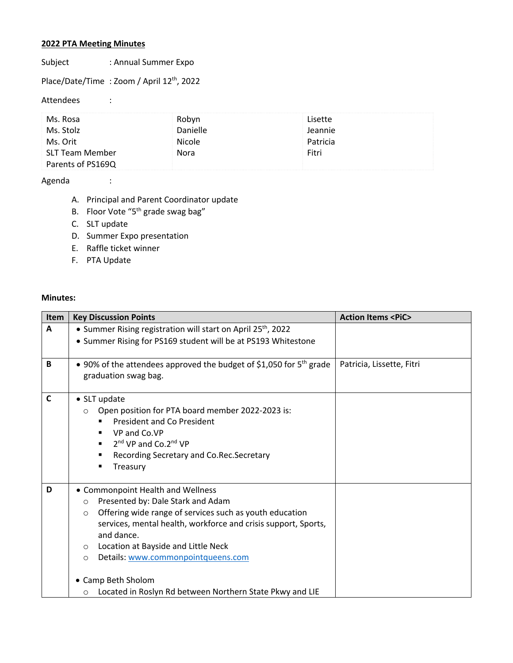## **2022 PTA Meeting Minutes**

Subject : Annual Summer Expo

Place/Date/Time : Zoom / April 12<sup>th</sup>, 2022

Attendees :

| Ms. Rosa          | Robyn           | Lisette  |  |
|-------------------|-----------------|----------|--|
| Ms. Stolz         | <b>Danielle</b> | Jeannie  |  |
| Ms. Orit          | Nicole          | Patricia |  |
| SLT Team Member   | Nora            | Fitri    |  |
| Parents of PS169Q |                 |          |  |

## Agenda :

- A. Principal and Parent Coordinator update
- B. Floor Vote "5<sup>th</sup> grade swag bag"
- C. SLT update
- D. Summer Expo presentation
- E. Raffle ticket winner
- F. PTA Update

## **Minutes:**

| <b>Item</b>  | <b>Key Discussion Points</b>                                                                                                                                                                                                                                                                                                               | <b>Action Items <pic></pic></b> |
|--------------|--------------------------------------------------------------------------------------------------------------------------------------------------------------------------------------------------------------------------------------------------------------------------------------------------------------------------------------------|---------------------------------|
| A            | • Summer Rising registration will start on April 25 <sup>th</sup> , 2022                                                                                                                                                                                                                                                                   |                                 |
|              | • Summer Rising for PS169 student will be at PS193 Whitestone                                                                                                                                                                                                                                                                              |                                 |
| B            | • 90% of the attendees approved the budget of \$1,050 for 5 <sup>th</sup> grade<br>graduation swag bag.                                                                                                                                                                                                                                    | Patricia, Lissette, Fitri       |
| $\mathsf{C}$ | • SLT update<br>Open position for PTA board member 2022-2023 is:<br>$\circ$<br><b>President and Co President</b><br>VP and Co.VP<br>п<br>2 <sup>nd</sup> VP and Co.2 <sup>nd</sup> VP<br>٠<br>Recording Secretary and Co.Rec.Secretary<br>٠<br>Treasury<br>٠                                                                               |                                 |
| D            | • Commonpoint Health and Wellness<br>Presented by: Dale Stark and Adam<br>$\circ$<br>Offering wide range of services such as youth education<br>$\circ$<br>services, mental health, workforce and crisis support, Sports,<br>and dance.<br>Location at Bayside and Little Neck<br>$\circ$<br>Details: www.commonpointqueens.com<br>$\circ$ |                                 |
|              | • Camp Beth Sholom<br>Located in Roslyn Rd between Northern State Pkwy and LIE<br>$\circ$                                                                                                                                                                                                                                                  |                                 |